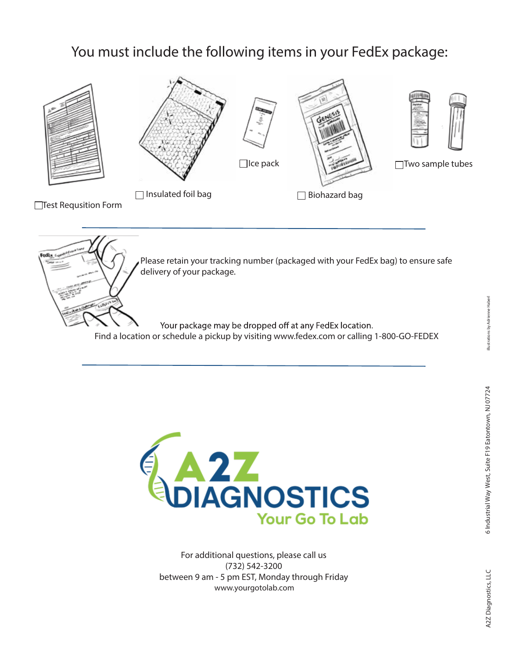## You must include the following items in your FedEx package:



Please retain your tracking number (packaged with your FedEx bag) to ensure safe delivery of your package.

Your package may be dropped off at any FedEx location. Find a location or schedule a pickup by visiting www.fedex.com or calling 1-800-GO-FEDEX



For additional questions, please call us (732) 542-3200 between 9 am - 5 pm EST, Monday through Friday www.yourgotolab.com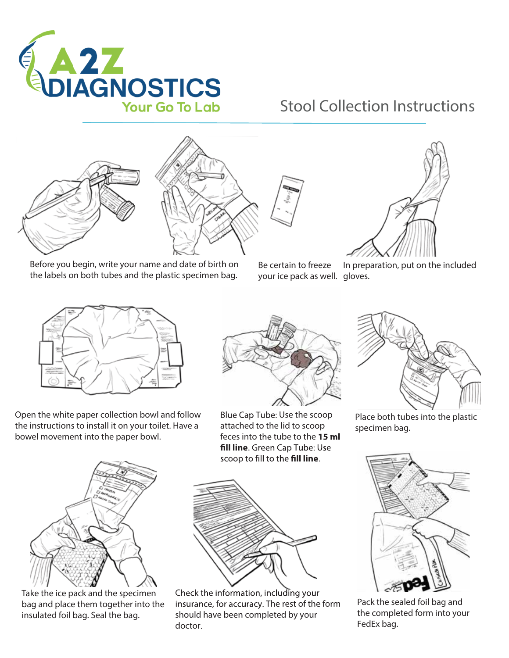

## Stool Collection Instructions



Before you begin, write your name and date of birth on the labels on both tubes and the plastic specimen bag.



your ice pack as well. gloves. Be certain to freeze



In preparation, put on the included



Open the white paper collection bowl and follow the instructions to install it on your toilet. Have a bowel movement into the paper bowl.



Take the ice pack and the specimen bag and place them together into the insulated foil bag. Seal the bag.



Blue Cap Tube: Use the scoop attached to the lid to scoop feces into the tube to the 15 ml fill line. Green Cap Tube: Use scoop to fill to the **fill line**.



Check the information, including your insurance, for accuracy. The rest of the form should have been completed by your doctor



Place both tubes into the plastic specimen bag.



Pack the sealed foil bag and the completed form into your FedEx bag.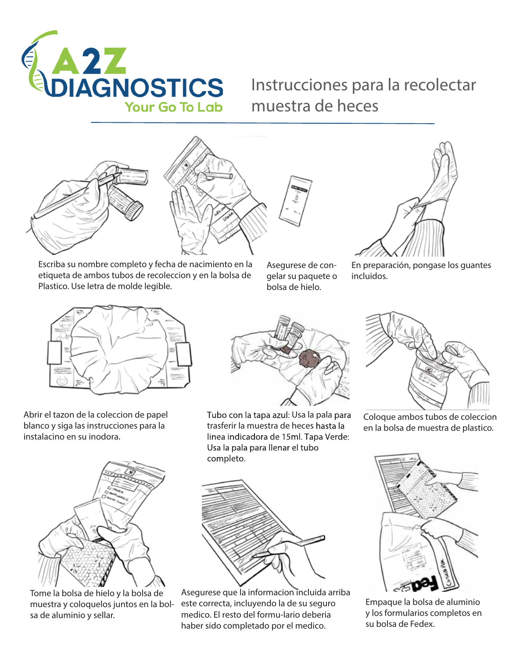

## Instrucciones para la recolectar muestra de heces





Escriba su nombre completo y fecha de nacimiento en la etiqueta de ambos tubos de recoleccion y en la bolsa de Plastico. Use letra de molde legible.



gelar su paquete o bolsa de hielo.



En preparación, pongase los guantes incluidos.



Abrir el tazon de la coleccion de papel blanco y siga las instrucciones para la instalacino en su inodora.



Tome la bolsa de hielo y la bolsa de muestra y coloquelos juntos en la bolsa de aluminio y sellar.



Tubo con la tapa azul: Usa la pala para trasferir la muestra de heces linea indicadora de 15ml. Tapa Verde: Usa la pala para llenar el tubo completo.



Asegurese que la informacion incluida arriba este correcta, incluyendo la de su seguro medico. El resto del formu-lario deberia haber sido completado por el medico.



Coloque ambos tubos de coleccion en la bolsa de muestra de plastico.



Empaque la bolsa de aluminio y los formularios completos en su bolsa de Fedex.